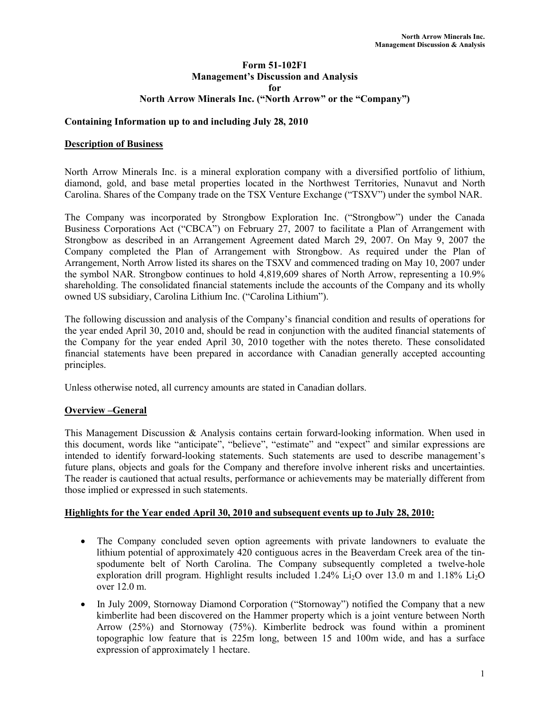### Form 51-102F1 Management's Discussion and Analysis for North Arrow Minerals Inc. ("North Arrow" or the "Company")

### Containing Information up to and including July 28, 2010

#### Description of Business

North Arrow Minerals Inc. is a mineral exploration company with a diversified portfolio of lithium, diamond, gold, and base metal properties located in the Northwest Territories, Nunavut and North Carolina. Shares of the Company trade on the TSX Venture Exchange ("TSXV") under the symbol NAR.

The Company was incorporated by Strongbow Exploration Inc. ("Strongbow") under the Canada Business Corporations Act ("CBCA") on February 27, 2007 to facilitate a Plan of Arrangement with Strongbow as described in an Arrangement Agreement dated March 29, 2007. On May 9, 2007 the Company completed the Plan of Arrangement with Strongbow. As required under the Plan of Arrangement, North Arrow listed its shares on the TSXV and commenced trading on May 10, 2007 under the symbol NAR. Strongbow continues to hold 4,819,609 shares of North Arrow, representing a 10.9% shareholding. The consolidated financial statements include the accounts of the Company and its wholly owned US subsidiary, Carolina Lithium Inc. ("Carolina Lithium").

The following discussion and analysis of the Company's financial condition and results of operations for the year ended April 30, 2010 and, should be read in conjunction with the audited financial statements of the Company for the year ended April 30, 2010 together with the notes thereto. These consolidated financial statements have been prepared in accordance with Canadian generally accepted accounting principles.

Unless otherwise noted, all currency amounts are stated in Canadian dollars.

### Overview –General

This Management Discussion & Analysis contains certain forward-looking information. When used in this document, words like "anticipate", "believe", "estimate" and "expect" and similar expressions are intended to identify forward-looking statements. Such statements are used to describe management's future plans, objects and goals for the Company and therefore involve inherent risks and uncertainties. The reader is cautioned that actual results, performance or achievements may be materially different from those implied or expressed in such statements.

#### Highlights for the Year ended April 30, 2010 and subsequent events up to July 28, 2010:

- The Company concluded seven option agreements with private landowners to evaluate the lithium potential of approximately 420 contiguous acres in the Beaverdam Creek area of the tinspodumente belt of North Carolina. The Company subsequently completed a twelve-hole exploration drill program. Highlight results included  $1.24\%$  Li<sub>2</sub>O over 13.0 m and 1.18% Li<sub>2</sub>O over 12.0 m.
- In July 2009, Stornoway Diamond Corporation ("Stornoway") notified the Company that a new kimberlite had been discovered on the Hammer property which is a joint venture between North Arrow (25%) and Stornoway (75%). Kimberlite bedrock was found within a prominent topographic low feature that is 225m long, between 15 and 100m wide, and has a surface expression of approximately 1 hectare.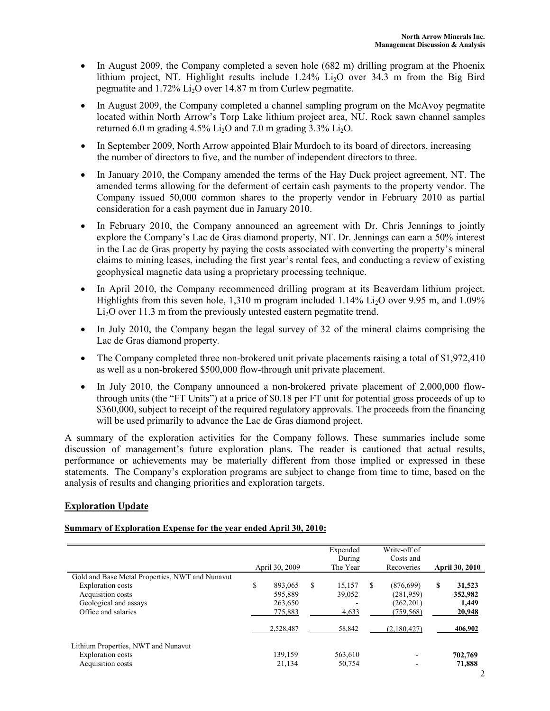- In August 2009, the Company completed a seven hole (682 m) drilling program at the Phoenix lithium project, NT. Highlight results include  $1.24\%$  Li<sub>2</sub>O over 34.3 m from the Big Bird pegmatite and 1.72% Li2O over 14.87 m from Curlew pegmatite.
- In August 2009, the Company completed a channel sampling program on the McAvoy pegmatite located within North Arrow's Torp Lake lithium project area, NU. Rock sawn channel samples returned 6.0 m grading  $4.5\%$  Li<sub>2</sub>O and 7.0 m grading  $3.3\%$  Li<sub>2</sub>O.
- In September 2009, North Arrow appointed Blair Murdoch to its board of directors, increasing the number of directors to five, and the number of independent directors to three.
- In January 2010, the Company amended the terms of the Hay Duck project agreement, NT. The amended terms allowing for the deferment of certain cash payments to the property vendor. The Company issued 50,000 common shares to the property vendor in February 2010 as partial consideration for a cash payment due in January 2010.
- In February 2010, the Company announced an agreement with Dr. Chris Jennings to jointly explore the Company's Lac de Gras diamond property, NT. Dr. Jennings can earn a 50% interest in the Lac de Gras property by paying the costs associated with converting the property's mineral claims to mining leases, including the first year's rental fees, and conducting a review of existing geophysical magnetic data using a proprietary processing technique.
- In April 2010, the Company recommenced drilling program at its Beaverdam lithium project. Highlights from this seven hole,  $1,310$  m program included  $1.14\%$  Li<sub>2</sub>O over 9.95 m, and 1.09% Li<sub>2</sub>O over 11.3 m from the previously untested eastern pegmatite trend.
- In July 2010, the Company began the legal survey of 32 of the mineral claims comprising the Lac de Gras diamond property.
- The Company completed three non-brokered unit private placements raising a total of \$1,972,410 as well as a non-brokered \$500,000 flow-through unit private placement.
- In July 2010, the Company announced a non-brokered private placement of 2,000,000 flowthrough units (the "FT Units") at a price of \$0.18 per FT unit for potential gross proceeds of up to \$360,000, subject to receipt of the required regulatory approvals. The proceeds from the financing will be used primarily to advance the Lac de Gras diamond project.

A summary of the exploration activities for the Company follows. These summaries include some discussion of management's future exploration plans. The reader is cautioned that actual results, performance or achievements may be materially different from those implied or expressed in these statements. The Company's exploration programs are subject to change from time to time, based on the analysis of results and changing priorities and exploration targets.

# Exploration Update

#### Summary of Exploration Expense for the year ended April 30, 2010:

|                                                                                                                                           |                                                                  |                                |    | Expended<br>During<br>The Year | Write-off of<br>Costs and<br>Recoveries                             |  | <b>April 30, 2010</b>                |
|-------------------------------------------------------------------------------------------------------------------------------------------|------------------------------------------------------------------|--------------------------------|----|--------------------------------|---------------------------------------------------------------------|--|--------------------------------------|
| Gold and Base Metal Properties, NWT and Nunavut<br>Exploration costs<br>Acquisition costs<br>Geological and assays<br>Office and salaries | April 30, 2009<br>\$<br>893,065<br>595.889<br>263,650<br>775,883 |                                | S. | 15,157<br>39,052<br>4,633      | \$<br>(876,699)<br>(281.959)<br>(262, 201)<br>(759, 568)            |  | 31,523<br>352,982<br>1,449<br>20,948 |
| Lithium Properties, NWT and Nunavut<br>Exploration costs<br>Acquisition costs                                                             |                                                                  | 2,528,487<br>139,159<br>21,134 |    | 58,842<br>563,610<br>50,754    | (2,180,427)<br>$\overline{\phantom{0}}$<br>$\overline{\phantom{a}}$ |  | 406,902<br>702.769<br>71,888         |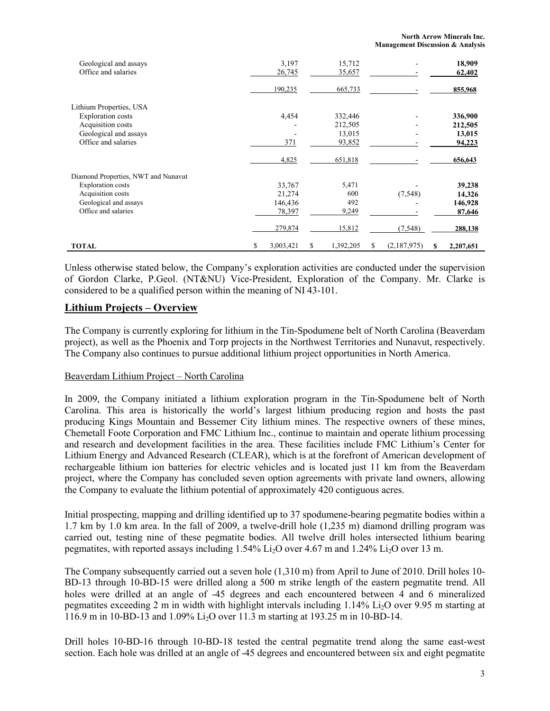| Geological and assays<br>Office and salaries |   | 3,197<br>26,745 | 15,712<br>35,657 |    |             |   | 18,909<br>62,402 |
|----------------------------------------------|---|-----------------|------------------|----|-------------|---|------------------|
|                                              |   | 190,235         | 665,733          |    |             |   | 855,968          |
| Lithium Properties, USA                      |   |                 |                  |    |             |   |                  |
| <b>Exploration costs</b>                     |   | 4,454           | 332,446          |    |             |   | 336,900          |
| Acquisition costs                            |   |                 | 212,505          |    |             |   | 212,505          |
| Geological and assays                        |   |                 | 13,015           |    |             |   | 13,015           |
| Office and salaries                          |   | 371             | 93,852           |    |             |   | 94,223           |
|                                              |   | 4,825           | 651,818          |    |             |   | 656,643          |
| Diamond Properties, NWT and Nunavut          |   |                 |                  |    |             |   |                  |
| <b>Exploration costs</b>                     |   | 33,767          | 5,471            |    |             |   | 39,238           |
| Acquisition costs                            |   | 21,274          | 600              |    | (7, 548)    |   | 14,326           |
| Geological and assays                        |   | 146,436         | 492              |    |             |   | 146,928          |
| Office and salaries                          |   | 78,397          | 9,249            |    |             |   | 87,646           |
|                                              |   | 279,874         | 15,812           |    | (7,548)     |   | 288,138          |
| <b>TOTAL</b>                                 | S | 3,003,421       | \$<br>1,392,205  | S. | (2,187,975) | S | 2,207,651        |

Unless otherwise stated below, the Company's exploration activities are conducted under the supervision of Gordon Clarke, P.Geol. (NT&NU) Vice-President, Exploration of the Company. Mr. Clarke is considered to be a qualified person within the meaning of NI 43-101.

# Lithium Projects – Overview

The Company is currently exploring for lithium in the Tin-Spodumene belt of North Carolina (Beaverdam project), as well as the Phoenix and Torp projects in the Northwest Territories and Nunavut, respectively. The Company also continues to pursue additional lithium project opportunities in North America.

### Beaverdam Lithium Project – North Carolina

In 2009, the Company initiated a lithium exploration program in the Tin-Spodumene belt of North Carolina. This area is historically the world's largest lithium producing region and hosts the past producing Kings Mountain and Bessemer City lithium mines. The respective owners of these mines, Chemetall Foote Corporation and FMC Lithium Inc., continue to maintain and operate lithium processing and research and development facilities in the area. These facilities include FMC Lithium's Center for Lithium Energy and Advanced Research (CLEAR), which is at the forefront of American development of rechargeable lithium ion batteries for electric vehicles and is located just 11 km from the Beaverdam project, where the Company has concluded seven option agreements with private land owners, allowing the Company to evaluate the lithium potential of approximately 420 contiguous acres.

Initial prospecting, mapping and drilling identified up to 37 spodumene-bearing pegmatite bodies within a 1.7 km by 1.0 km area. In the fall of 2009, a twelve-drill hole (1,235 m) diamond drilling program was carried out, testing nine of these pegmatite bodies. All twelve drill holes intersected lithium bearing pegmatites, with reported assays including  $1.54\%$  Li<sub>2</sub>O over 4.67 m and  $1.24\%$  Li<sub>2</sub>O over 13 m.

The Company subsequently carried out a seven hole (1,310 m) from April to June of 2010. Drill holes 10- BD-13 through 10-BD-15 were drilled along a 500 m strike length of the eastern pegmatite trend. All holes were drilled at an angle of -45 degrees and each encountered between 4 and 6 mineralized pegmatites exceeding 2 m in width with highlight intervals including 1.14% Li2O over 9.95 m starting at 116.9 m in 10-BD-13 and 1.09% Li2O over 11.3 m starting at 193.25 m in 10-BD-14.

Drill holes 10-BD-16 through 10-BD-18 tested the central pegmatite trend along the same east-west section. Each hole was drilled at an angle of -45 degrees and encountered between six and eight pegmatite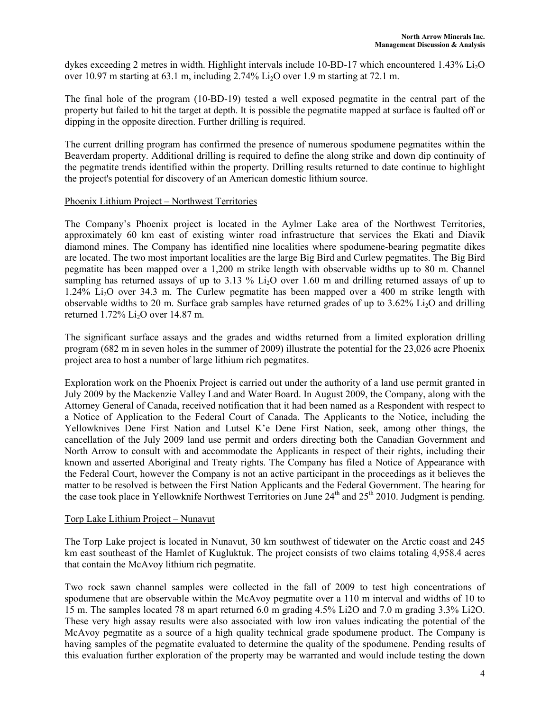dykes exceeding 2 metres in width. Highlight intervals include 10-BD-17 which encountered 1.43% Li<sub>2</sub>O over 10.97 m starting at 63.1 m, including  $2.74\%$  Li<sub>2</sub>O over 1.9 m starting at 72.1 m.

The final hole of the program (10-BD-19) tested a well exposed pegmatite in the central part of the property but failed to hit the target at depth. It is possible the pegmatite mapped at surface is faulted off or dipping in the opposite direction. Further drilling is required.

The current drilling program has confirmed the presence of numerous spodumene pegmatites within the Beaverdam property. Additional drilling is required to define the along strike and down dip continuity of the pegmatite trends identified within the property. Drilling results returned to date continue to highlight the project's potential for discovery of an American domestic lithium source.

#### Phoenix Lithium Project – Northwest Territories

The Company's Phoenix project is located in the Aylmer Lake area of the Northwest Territories, approximately 60 km east of existing winter road infrastructure that services the Ekati and Diavik diamond mines. The Company has identified nine localities where spodumene-bearing pegmatite dikes are located. The two most important localities are the large Big Bird and Curlew pegmatites. The Big Bird pegmatite has been mapped over a 1,200 m strike length with observable widths up to 80 m. Channel sampling has returned assays of up to 3.13 % Li<sub>2</sub>O over 1.60 m and drilling returned assays of up to 1.24% Li2O over 34.3 m. The Curlew pegmatite has been mapped over a 400 m strike length with observable widths to 20 m. Surface grab samples have returned grades of up to  $3.62\%$  Li<sub>2</sub>O and drilling returned  $1.72\%$  Li<sub>2</sub>O over 14.87 m.

The significant surface assays and the grades and widths returned from a limited exploration drilling program (682 m in seven holes in the summer of 2009) illustrate the potential for the 23,026 acre Phoenix project area to host a number of large lithium rich pegmatites.

Exploration work on the Phoenix Project is carried out under the authority of a land use permit granted in July 2009 by the Mackenzie Valley Land and Water Board. In August 2009, the Company, along with the Attorney General of Canada, received notification that it had been named as a Respondent with respect to a Notice of Application to the Federal Court of Canada. The Applicants to the Notice, including the Yellowknives Dene First Nation and Lutsel K'e Dene First Nation, seek, among other things, the cancellation of the July 2009 land use permit and orders directing both the Canadian Government and North Arrow to consult with and accommodate the Applicants in respect of their rights, including their known and asserted Aboriginal and Treaty rights. The Company has filed a Notice of Appearance with the Federal Court, however the Company is not an active participant in the proceedings as it believes the matter to be resolved is between the First Nation Applicants and the Federal Government. The hearing for the case took place in Yellowknife Northwest Territories on June  $24<sup>th</sup>$  and  $25<sup>th</sup>$  2010. Judgment is pending.

### Torp Lake Lithium Project – Nunavut

The Torp Lake project is located in Nunavut, 30 km southwest of tidewater on the Arctic coast and 245 km east southeast of the Hamlet of Kugluktuk. The project consists of two claims totaling 4,958.4 acres that contain the McAvoy lithium rich pegmatite.

Two rock sawn channel samples were collected in the fall of 2009 to test high concentrations of spodumene that are observable within the McAvoy pegmatite over a 110 m interval and widths of 10 to 15 m. The samples located 78 m apart returned 6.0 m grading 4.5% Li2O and 7.0 m grading 3.3% Li2O. These very high assay results were also associated with low iron values indicating the potential of the McAvoy pegmatite as a source of a high quality technical grade spodumene product. The Company is having samples of the pegmatite evaluated to determine the quality of the spodumene. Pending results of this evaluation further exploration of the property may be warranted and would include testing the down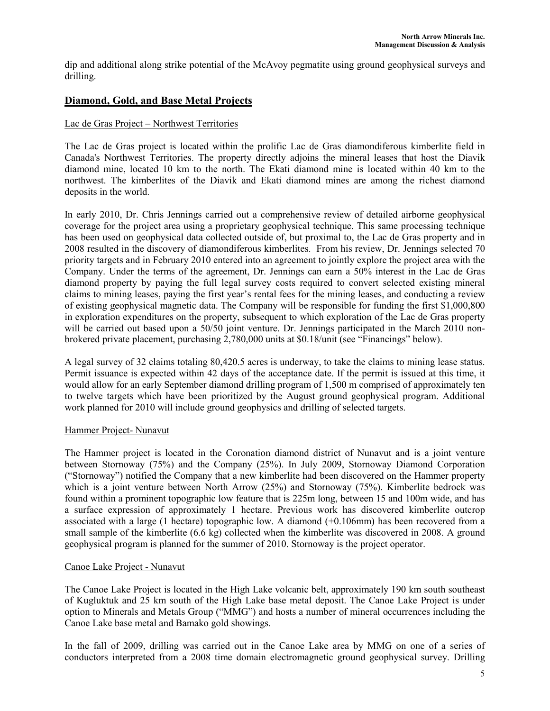dip and additional along strike potential of the McAvoy pegmatite using ground geophysical surveys and drilling.

# Diamond, Gold, and Base Metal Projects

### Lac de Gras Project – Northwest Territories

The Lac de Gras project is located within the prolific Lac de Gras diamondiferous kimberlite field in Canada's Northwest Territories. The property directly adjoins the mineral leases that host the Diavik diamond mine, located 10 km to the north. The Ekati diamond mine is located within 40 km to the northwest. The kimberlites of the Diavik and Ekati diamond mines are among the richest diamond deposits in the world.

In early 2010, Dr. Chris Jennings carried out a comprehensive review of detailed airborne geophysical coverage for the project area using a proprietary geophysical technique. This same processing technique has been used on geophysical data collected outside of, but proximal to, the Lac de Gras property and in 2008 resulted in the discovery of diamondiferous kimberlites. From his review, Dr. Jennings selected 70 priority targets and in February 2010 entered into an agreement to jointly explore the project area with the Company. Under the terms of the agreement, Dr. Jennings can earn a 50% interest in the Lac de Gras diamond property by paying the full legal survey costs required to convert selected existing mineral claims to mining leases, paying the first year's rental fees for the mining leases, and conducting a review of existing geophysical magnetic data. The Company will be responsible for funding the first \$1,000,800 in exploration expenditures on the property, subsequent to which exploration of the Lac de Gras property will be carried out based upon a 50/50 joint venture. Dr. Jennings participated in the March 2010 nonbrokered private placement, purchasing 2,780,000 units at \$0.18/unit (see "Financings" below).

A legal survey of 32 claims totaling 80,420.5 acres is underway, to take the claims to mining lease status. Permit issuance is expected within 42 days of the acceptance date. If the permit is issued at this time, it would allow for an early September diamond drilling program of 1,500 m comprised of approximately ten to twelve targets which have been prioritized by the August ground geophysical program. Additional work planned for 2010 will include ground geophysics and drilling of selected targets.

### Hammer Project- Nunavut

The Hammer project is located in the Coronation diamond district of Nunavut and is a joint venture between Stornoway (75%) and the Company (25%). In July 2009, Stornoway Diamond Corporation ("Stornoway") notified the Company that a new kimberlite had been discovered on the Hammer property which is a joint venture between North Arrow (25%) and Stornoway (75%). Kimberlite bedrock was found within a prominent topographic low feature that is 225m long, between 15 and 100m wide, and has a surface expression of approximately 1 hectare. Previous work has discovered kimberlite outcrop associated with a large (1 hectare) topographic low. A diamond (+0.106mm) has been recovered from a small sample of the kimberlite (6.6 kg) collected when the kimberlite was discovered in 2008. A ground geophysical program is planned for the summer of 2010. Stornoway is the project operator.

### Canoe Lake Project - Nunavut

The Canoe Lake Project is located in the High Lake volcanic belt, approximately 190 km south southeast of Kugluktuk and 25 km south of the High Lake base metal deposit. The Canoe Lake Project is under option to Minerals and Metals Group ("MMG") and hosts a number of mineral occurrences including the Canoe Lake base metal and Bamako gold showings.

In the fall of 2009, drilling was carried out in the Canoe Lake area by MMG on one of a series of conductors interpreted from a 2008 time domain electromagnetic ground geophysical survey. Drilling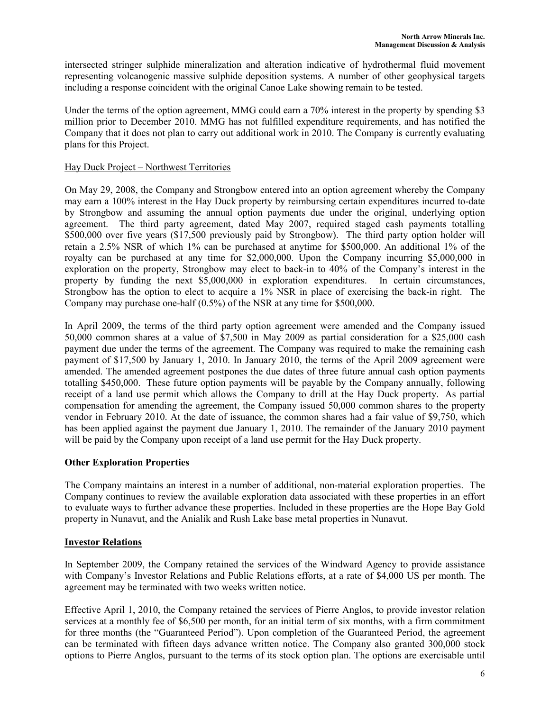intersected stringer sulphide mineralization and alteration indicative of hydrothermal fluid movement representing volcanogenic massive sulphide deposition systems. A number of other geophysical targets including a response coincident with the original Canoe Lake showing remain to be tested.

Under the terms of the option agreement, MMG could earn a 70% interest in the property by spending \$3 million prior to December 2010. MMG has not fulfilled expenditure requirements, and has notified the Company that it does not plan to carry out additional work in 2010. The Company is currently evaluating plans for this Project.

### Hay Duck Project – Northwest Territories

On May 29, 2008, the Company and Strongbow entered into an option agreement whereby the Company may earn a 100% interest in the Hay Duck property by reimbursing certain expenditures incurred to-date by Strongbow and assuming the annual option payments due under the original, underlying option agreement. The third party agreement, dated May 2007, required staged cash payments totalling \$500,000 over five years (\$17,500 previously paid by Strongbow). The third party option holder will retain a 2.5% NSR of which 1% can be purchased at anytime for \$500,000. An additional 1% of the royalty can be purchased at any time for \$2,000,000. Upon the Company incurring \$5,000,000 in exploration on the property, Strongbow may elect to back-in to 40% of the Company's interest in the property by funding the next \$5,000,000 in exploration expenditures. In certain circumstances, Strongbow has the option to elect to acquire a 1% NSR in place of exercising the back-in right. The Company may purchase one-half (0.5%) of the NSR at any time for \$500,000.

In April 2009, the terms of the third party option agreement were amended and the Company issued 50,000 common shares at a value of \$7,500 in May 2009 as partial consideration for a \$25,000 cash payment due under the terms of the agreement. The Company was required to make the remaining cash payment of \$17,500 by January 1, 2010. In January 2010, the terms of the April 2009 agreement were amended. The amended agreement postpones the due dates of three future annual cash option payments totalling \$450,000. These future option payments will be payable by the Company annually, following receipt of a land use permit which allows the Company to drill at the Hay Duck property. As partial compensation for amending the agreement, the Company issued 50,000 common shares to the property vendor in February 2010. At the date of issuance, the common shares had a fair value of \$9,750, which has been applied against the payment due January 1, 2010. The remainder of the January 2010 payment will be paid by the Company upon receipt of a land use permit for the Hay Duck property.

# Other Exploration Properties

The Company maintains an interest in a number of additional, non-material exploration properties. The Company continues to review the available exploration data associated with these properties in an effort to evaluate ways to further advance these properties. Included in these properties are the Hope Bay Gold property in Nunavut, and the Anialik and Rush Lake base metal properties in Nunavut.

### Investor Relations

In September 2009, the Company retained the services of the Windward Agency to provide assistance with Company's Investor Relations and Public Relations efforts, at a rate of \$4,000 US per month. The agreement may be terminated with two weeks written notice.

Effective April 1, 2010, the Company retained the services of Pierre Anglos, to provide investor relation services at a monthly fee of \$6,500 per month, for an initial term of six months, with a firm commitment for three months (the "Guaranteed Period"). Upon completion of the Guaranteed Period, the agreement can be terminated with fifteen days advance written notice. The Company also granted 300,000 stock options to Pierre Anglos, pursuant to the terms of its stock option plan. The options are exercisable until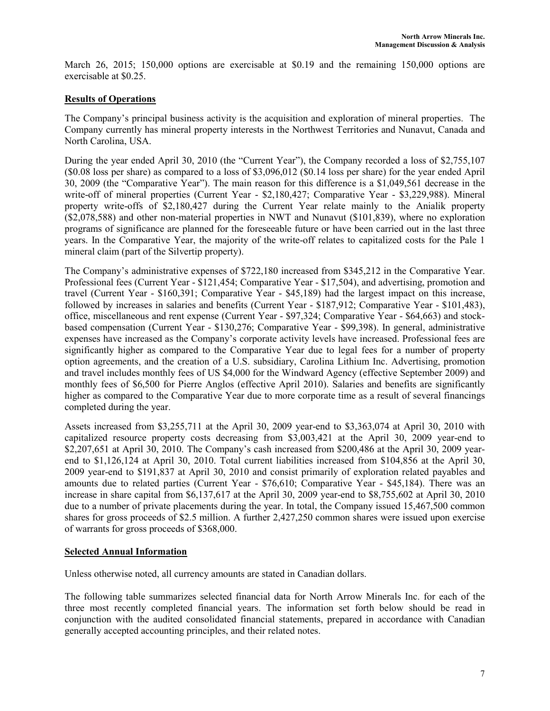March 26, 2015; 150,000 options are exercisable at \$0.19 and the remaining 150,000 options are exercisable at \$0.25.

# Results of Operations

The Company's principal business activity is the acquisition and exploration of mineral properties. The Company currently has mineral property interests in the Northwest Territories and Nunavut, Canada and North Carolina, USA.

During the year ended April 30, 2010 (the "Current Year"), the Company recorded a loss of \$2,755,107 (\$0.08 loss per share) as compared to a loss of \$3,096,012 (\$0.14 loss per share) for the year ended April 30, 2009 (the "Comparative Year"). The main reason for this difference is a \$1,049,561 decrease in the write-off of mineral properties (Current Year - \$2,180,427; Comparative Year - \$3,229,988). Mineral property write-offs of \$2,180,427 during the Current Year relate mainly to the Anialik property (\$2,078,588) and other non-material properties in NWT and Nunavut (\$101,839), where no exploration programs of significance are planned for the foreseeable future or have been carried out in the last three years. In the Comparative Year, the majority of the write-off relates to capitalized costs for the Pale 1 mineral claim (part of the Silvertip property).

The Company's administrative expenses of \$722,180 increased from \$345,212 in the Comparative Year. Professional fees (Current Year - \$121,454; Comparative Year - \$17,504), and advertising, promotion and travel (Current Year - \$160,391; Comparative Year - \$45,189) had the largest impact on this increase, followed by increases in salaries and benefits (Current Year - \$187,912; Comparative Year - \$101,483), office, miscellaneous and rent expense (Current Year - \$97,324; Comparative Year - \$64,663) and stockbased compensation (Current Year - \$130,276; Comparative Year - \$99,398). In general, administrative expenses have increased as the Company's corporate activity levels have increased. Professional fees are significantly higher as compared to the Comparative Year due to legal fees for a number of property option agreements, and the creation of a U.S. subsidiary, Carolina Lithium Inc. Advertising, promotion and travel includes monthly fees of US \$4,000 for the Windward Agency (effective September 2009) and monthly fees of \$6,500 for Pierre Anglos (effective April 2010). Salaries and benefits are significantly higher as compared to the Comparative Year due to more corporate time as a result of several financings completed during the year.

Assets increased from \$3,255,711 at the April 30, 2009 year-end to \$3,363,074 at April 30, 2010 with capitalized resource property costs decreasing from \$3,003,421 at the April 30, 2009 year-end to \$2,207,651 at April 30, 2010. The Company's cash increased from \$200,486 at the April 30, 2009 yearend to \$1,126,124 at April 30, 2010. Total current liabilities increased from \$104,856 at the April 30, 2009 year-end to \$191,837 at April 30, 2010 and consist primarily of exploration related payables and amounts due to related parties (Current Year - \$76,610; Comparative Year - \$45,184). There was an increase in share capital from \$6,137,617 at the April 30, 2009 year-end to \$8,755,602 at April 30, 2010 due to a number of private placements during the year. In total, the Company issued 15,467,500 common shares for gross proceeds of \$2.5 million. A further 2,427,250 common shares were issued upon exercise of warrants for gross proceeds of \$368,000.

# Selected Annual Information

Unless otherwise noted, all currency amounts are stated in Canadian dollars.

The following table summarizes selected financial data for North Arrow Minerals Inc. for each of the three most recently completed financial years. The information set forth below should be read in conjunction with the audited consolidated financial statements, prepared in accordance with Canadian generally accepted accounting principles, and their related notes.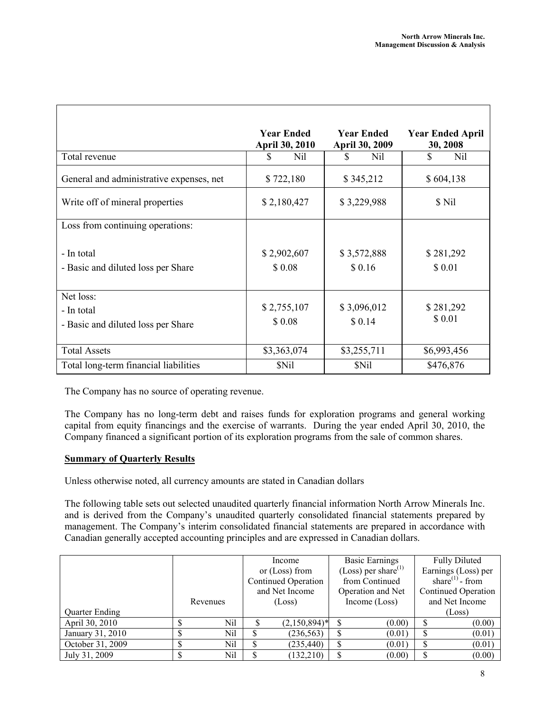|                                                               | <b>Year Ended</b><br><b>April 30, 2010</b> | <b>Year Ended</b><br><b>April 30, 2009</b> | <b>Year Ended April</b><br>30, 2008 |
|---------------------------------------------------------------|--------------------------------------------|--------------------------------------------|-------------------------------------|
| Total revenue                                                 | \$.<br>Nil                                 | S.<br>Nil                                  | \$<br>Nil                           |
| General and administrative expenses, net                      | \$722,180                                  | \$345,212                                  | \$604,138                           |
| Write off of mineral properties                               | \$2,180,427                                | \$3,229,988                                | \$ Nil                              |
| Loss from continuing operations:                              |                                            |                                            |                                     |
| - In total<br>- Basic and diluted loss per Share              | \$2,902,607<br>\$0.08                      | \$3,572,888<br>\$0.16                      | \$281,292<br>\$0.01                 |
| Net loss:<br>- In total<br>- Basic and diluted loss per Share | \$2,755,107<br>\$0.08                      | \$3,096,012<br>\$0.14                      | \$281,292<br>\$ 0.01                |
| <b>Total Assets</b>                                           | \$3,363,074                                | \$3,255,711                                | \$6,993,456                         |
| Total long-term financial liabilities                         | \$Nil                                      | \$Nil                                      | \$476,876                           |

The Company has no source of operating revenue.

The Company has no long-term debt and raises funds for exploration programs and general working capital from equity financings and the exercise of warrants. During the year ended April 30, 2010, the Company financed a significant portion of its exploration programs from the sale of common shares.

### Summary of Quarterly Results

Unless otherwise noted, all currency amounts are stated in Canadian dollars

The following table sets out selected unaudited quarterly financial information North Arrow Minerals Inc. and is derived from the Company's unaudited quarterly consolidated financial statements prepared by management. The Company's interim consolidated financial statements are prepared in accordance with Canadian generally accepted accounting principles and are expressed in Canadian dollars.

|                  |          | Income              | <b>Basic Earnings</b>     | <b>Fully Diluted</b>        |  |
|------------------|----------|---------------------|---------------------------|-----------------------------|--|
|                  |          | or $(Loss)$ from    | (Loss) per share $^{(1)}$ | Earnings (Loss) per         |  |
|                  |          | Continued Operation | from Continued            | share <sup>(1)</sup> - from |  |
|                  |          | and Net Income      | Operation and Net         | Continued Operation         |  |
|                  | Revenues | (Loss)              | Income $(Loss)$           | and Net Income              |  |
| Quarter Ending   |          |                     |                           | (Loss)                      |  |
| April 30, 2010   | Nil      | $(2,150,894)^*$     | (0.00)                    | (0.00)                      |  |
| January 31, 2010 | Nil      | (236, 563)          | (0.01)                    | (0.01)                      |  |
| October 31, 2009 | Nil      | (235, 440)          | (0.01)                    | (0.01)                      |  |
| July 31, 2009    | Nil      | (132, 210)          | (0.00)                    | (0.00)                      |  |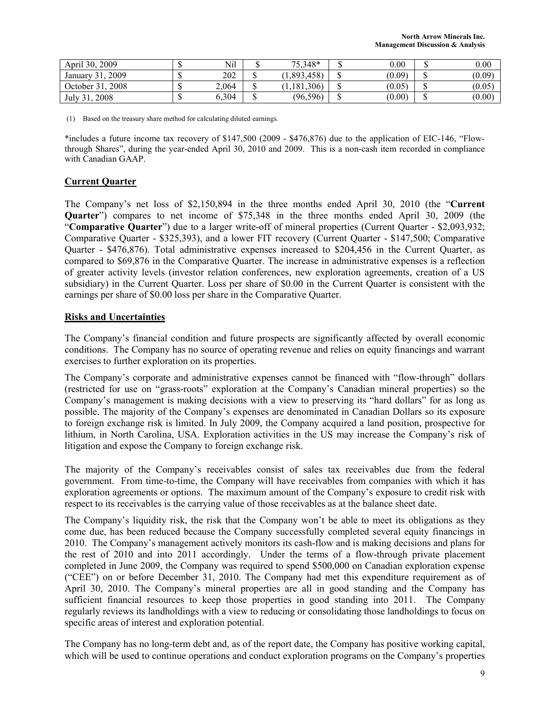| April 30,<br>2009      | لا | Nil   | 75,348*       |     | 0.00   |     | 0.00   |
|------------------------|----|-------|---------------|-----|--------|-----|--------|
| 2009<br>31.<br>January | ل∪ | 202   | 1,893,458     | د ۱ | (0.09) | دا، | (0.09) |
| 2008<br>October 31,    | لا | 2,064 | (1, 181, 306) | ω   | (0.05) |     | (0.05) |
| 2008<br>July 31,       | ل∪ | 0,304 | (96, 596)     | ω   | (0.00) | رل  | (0.00) |

(1) Based on the treasury share method for calculating diluted earnings.

\*includes a future income tax recovery of \$147,500 (2009 - \$476,876) due to the application of EIC-146, "Flowthrough Shares", during the year-ended April 30, 2010 and 2009. This is a non-cash item recorded in compliance with Canadian GAAP.

### Current Quarter

The Company's net loss of \$2,150,894 in the three months ended April 30, 2010 (the "Current Quarter") compares to net income of \$75,348 in the three months ended April 30, 2009 (the "Comparative Quarter") due to a larger write-off of mineral properties (Current Quarter - \$2,093,932; Comparative Quarter - \$325,393), and a lower FIT recovery (Current Quarter - \$147,500; Comparative Quarter - \$476,876). Total administrative expenses increased to \$204,456 in the Current Quarter, as compared to \$69,876 in the Comparative Quarter. The increase in administrative expenses is a reflection of greater activity levels (investor relation conferences, new exploration agreements, creation of a US subsidiary) in the Current Quarter. Loss per share of \$0.00 in the Current Quarter is consistent with the earnings per share of \$0.00 loss per share in the Comparative Quarter.

### Risks and Uncertainties

The Company's financial condition and future prospects are significantly affected by overall economic conditions. The Company has no source of operating revenue and relies on equity financings and warrant exercises to further exploration on its properties.

The Company's corporate and administrative expenses cannot be financed with "flow-through" dollars (restricted for use on "grass-roots" exploration at the Company's Canadian mineral properties) so the Company's management is making decisions with a view to preserving its "hard dollars" for as long as possible. The majority of the Company's expenses are denominated in Canadian Dollars so its exposure to foreign exchange risk is limited. In July 2009, the Company acquired a land position, prospective for lithium, in North Carolina, USA. Exploration activities in the US may increase the Company's risk of litigation and expose the Company to foreign exchange risk.

The majority of the Company's receivables consist of sales tax receivables due from the federal government. From time-to-time, the Company will have receivables from companies with which it has exploration agreements or options. The maximum amount of the Company's exposure to credit risk with respect to its receivables is the carrying value of those receivables as at the balance sheet date.

The Company's liquidity risk, the risk that the Company won't be able to meet its obligations as they come due, has been reduced because the Company successfully completed several equity financings in 2010. The Company's management actively monitors its cash-flow and is making decisions and plans for the rest of 2010 and into 2011 accordingly. Under the terms of a flow-through private placement completed in June 2009, the Company was required to spend \$500,000 on Canadian exploration expense ("CEE") on or before December 31, 2010. The Company had met this expenditure requirement as of April 30, 2010. The Company's mineral properties are all in good standing and the Company has sufficient financial resources to keep those properties in good standing into 2011. The Company regularly reviews its landholdings with a view to reducing or consolidating those landholdings to focus on specific areas of interest and exploration potential.

The Company has no long-term debt and, as of the report date, the Company has positive working capital, which will be used to continue operations and conduct exploration programs on the Company's properties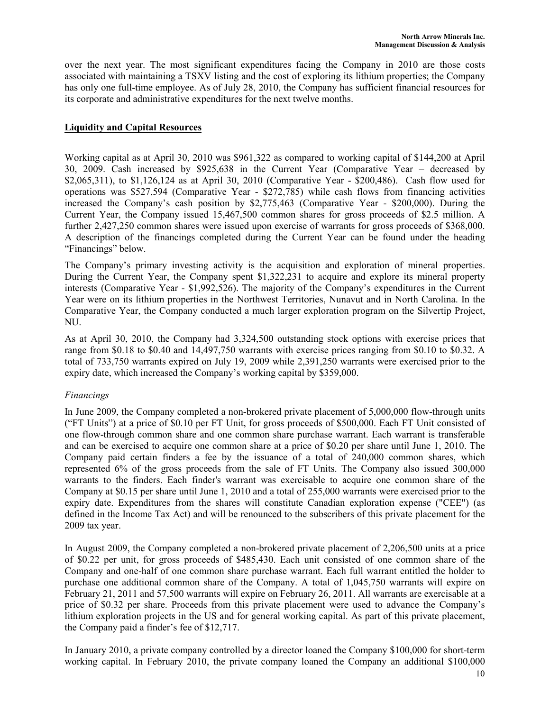over the next year. The most significant expenditures facing the Company in 2010 are those costs associated with maintaining a TSXV listing and the cost of exploring its lithium properties; the Company has only one full-time employee. As of July 28, 2010, the Company has sufficient financial resources for its corporate and administrative expenditures for the next twelve months.

#### Liquidity and Capital Resources

Working capital as at April 30, 2010 was \$961,322 as compared to working capital of \$144,200 at April 30, 2009. Cash increased by \$925,638 in the Current Year (Comparative Year – decreased by \$2,065,311), to \$1,126,124 as at April 30, 2010 (Comparative Year - \$200,486). Cash flow used for operations was \$527,594 (Comparative Year - \$272,785) while cash flows from financing activities increased the Company's cash position by \$2,775,463 (Comparative Year - \$200,000). During the Current Year, the Company issued 15,467,500 common shares for gross proceeds of \$2.5 million. A further 2,427,250 common shares were issued upon exercise of warrants for gross proceeds of \$368,000. A description of the financings completed during the Current Year can be found under the heading "Financings" below.

The Company's primary investing activity is the acquisition and exploration of mineral properties. During the Current Year, the Company spent \$1,322,231 to acquire and explore its mineral property interests (Comparative Year - \$1,992,526). The majority of the Company's expenditures in the Current Year were on its lithium properties in the Northwest Territories, Nunavut and in North Carolina. In the Comparative Year, the Company conducted a much larger exploration program on the Silvertip Project, NU.

As at April 30, 2010, the Company had 3,324,500 outstanding stock options with exercise prices that range from \$0.18 to \$0.40 and 14,497,750 warrants with exercise prices ranging from \$0.10 to \$0.32. A total of 733,750 warrants expired on July 19, 2009 while 2,391,250 warrants were exercised prior to the expiry date, which increased the Company's working capital by \$359,000.

### Financings

In June 2009, the Company completed a non-brokered private placement of 5,000,000 flow-through units ("FT Units") at a price of \$0.10 per FT Unit, for gross proceeds of \$500,000. Each FT Unit consisted of one flow-through common share and one common share purchase warrant. Each warrant is transferable and can be exercised to acquire one common share at a price of \$0.20 per share until June 1, 2010. The Company paid certain finders a fee by the issuance of a total of 240,000 common shares, which represented 6% of the gross proceeds from the sale of FT Units. The Company also issued 300,000 warrants to the finders. Each finder's warrant was exercisable to acquire one common share of the Company at \$0.15 per share until June 1, 2010 and a total of 255,000 warrants were exercised prior to the expiry date. Expenditures from the shares will constitute Canadian exploration expense ("CEE") (as defined in the Income Tax Act) and will be renounced to the subscribers of this private placement for the 2009 tax year.

In August 2009, the Company completed a non-brokered private placement of 2,206,500 units at a price of \$0.22 per unit, for gross proceeds of \$485,430. Each unit consisted of one common share of the Company and one-half of one common share purchase warrant. Each full warrant entitled the holder to purchase one additional common share of the Company. A total of 1,045,750 warrants will expire on February 21, 2011 and 57,500 warrants will expire on February 26, 2011. All warrants are exercisable at a price of \$0.32 per share. Proceeds from this private placement were used to advance the Company's lithium exploration projects in the US and for general working capital. As part of this private placement, the Company paid a finder's fee of \$12,717.

In January 2010, a private company controlled by a director loaned the Company \$100,000 for short-term working capital. In February 2010, the private company loaned the Company an additional \$100,000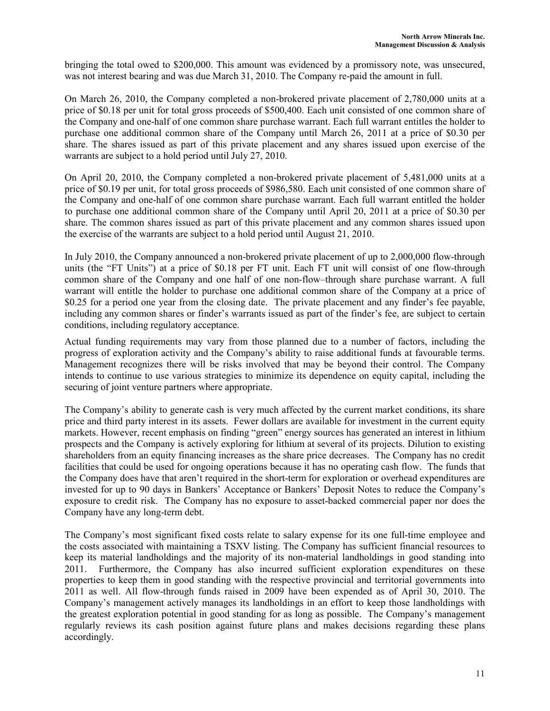bringing the total owed to \$200,000. This amount was evidenced by a promissory note, was unsecured, was not interest bearing and was due March 31, 2010. The Company re-paid the amount in full.

On March 26, 2010, the Company completed a non-brokered private placement of 2,780,000 units at a price of \$0.18 per unit for total gross proceeds of \$500,400. Each unit consisted of one common share of the Company and one-half of one common share purchase warrant. Each full warrant entitles the holder to purchase one additional common share of the Company until March 26, 2011 at a price of \$0.30 per share. The shares issued as part of this private placement and any shares issued upon exercise of the warrants are subject to a hold period until July 27, 2010.

On April 20, 2010, the Company completed a non-brokered private placement of 5,481,000 units at a price of \$0.19 per unit, for total gross proceeds of \$986,580. Each unit consisted of one common share of the Company and one-half of one common share purchase warrant. Each full warrant entitled the holder to purchase one additional common share of the Company until April 20, 2011 at a price of \$0.30 per share. The common shares issued as part of this private placement and any common shares issued upon the exercise of the warrants are subject to a hold period until August 21, 2010.

In July 2010, the Company announced a non-brokered private placement of up to 2,000,000 flow-through units (the "FT Units") at a price of \$0.18 per FT unit. Each FT unit will consist of one flow-through common share of the Company and one half of one non-flow–through share purchase warrant. A full warrant will entitle the holder to purchase one additional common share of the Company at a price of \$0.25 for a period one year from the closing date. The private placement and any finder's fee payable, including any common shares or finder's warrants issued as part of the finder's fee, are subject to certain conditions, including regulatory acceptance.

Actual funding requirements may vary from those planned due to a number of factors, including the progress of exploration activity and the Company's ability to raise additional funds at favourable terms. Management recognizes there will be risks involved that may be beyond their control. The Company intends to continue to use various strategies to minimize its dependence on equity capital, including the securing of joint venture partners where appropriate.

The Company's ability to generate cash is very much affected by the current market conditions, its share price and third party interest in its assets. Fewer dollars are available for investment in the current equity markets. However, recent emphasis on finding "green" energy sources has generated an interest in lithium prospects and the Company is actively exploring for lithium at several of its projects. Dilution to existing shareholders from an equity financing increases as the share price decreases. The Company has no credit facilities that could be used for ongoing operations because it has no operating cash flow. The funds that the Company does have that aren't required in the short-term for exploration or overhead expenditures are invested for up to 90 days in Bankers' Acceptance or Bankers' Deposit Notes to reduce the Company's exposure to credit risk. The Company has no exposure to asset-backed commercial paper nor does the Company have any long-term debt.

The Company's most significant fixed costs relate to salary expense for its one full-time employee and the costs associated with maintaining a TSXV listing. The Company has sufficient financial resources to keep its material landholdings and the majority of its non-material landholdings in good standing into 2011. Furthermore, the Company has also incurred sufficient exploration expenditures on these properties to keep them in good standing with the respective provincial and territorial governments into 2011 as well. All flow-through funds raised in 2009 have been expended as of April 30, 2010. The Company's management actively manages its landholdings in an effort to keep those landholdings with the greatest exploration potential in good standing for as long as possible. The Company's management regularly reviews its cash position against future plans and makes decisions regarding these plans accordingly.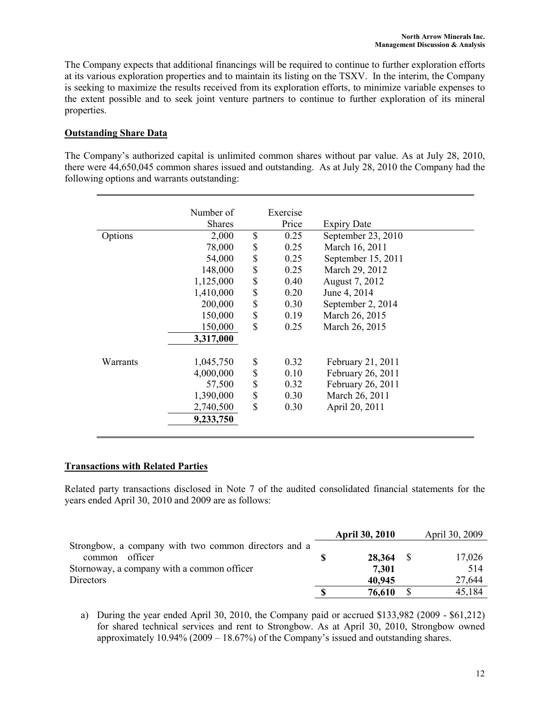The Company expects that additional financings will be required to continue to further exploration efforts at its various exploration properties and to maintain its listing on the TSXV. In the interim, the Company is seeking to maximize the results received from its exploration efforts, to minimize variable expenses to the extent possible and to seek joint venture partners to continue to further exploration of its mineral properties.

### Outstanding Share Data

The Company's authorized capital is unlimited common shares without par value. As at July 28, 2010, there were 44,650,045 common shares issued and outstanding. As at July 28, 2010 the Company had the following options and warrants outstanding:

|          | Number of     | Exercise   |                    |  |
|----------|---------------|------------|--------------------|--|
|          | <b>Shares</b> | Price      | <b>Expiry Date</b> |  |
| Options  | 2,000         | \$<br>0.25 | September 23, 2010 |  |
|          | 78,000        | \$<br>0.25 | March 16, 2011     |  |
|          | 54,000        | \$<br>0.25 | September 15, 2011 |  |
|          | 148,000       | \$<br>0.25 | March 29, 2012     |  |
|          | 1,125,000     | \$<br>0.40 | August 7, 2012     |  |
|          | 1,410,000     | \$<br>0.20 | June 4, 2014       |  |
|          | 200,000       | \$<br>0.30 | September 2, 2014  |  |
|          | 150,000       | \$<br>0.19 | March 26, 2015     |  |
|          | 150,000       | \$<br>0.25 | March 26, 2015     |  |
|          | 3,317,000     |            |                    |  |
| Warrants | 1,045,750     | \$<br>0.32 | February 21, 2011  |  |
|          | 4,000,000     | \$<br>0.10 | February 26, 2011  |  |
|          | 57,500        | \$<br>0.32 | February 26, 2011  |  |
|          | 1,390,000     | \$<br>0.30 | March 26, 2011     |  |
|          | 2,740,500     | \$<br>0.30 | April 20, 2011     |  |
|          | 9,233,750     |            |                    |  |
|          |               |            |                    |  |

### Transactions with Related Parties

Related party transactions disclosed in Note 7 of the audited consolidated financial statements for the years ended April 30, 2010 and 2009 are as follows:

|                                                      | <b>April 30, 2010</b> | April 30, 2009 |
|------------------------------------------------------|-----------------------|----------------|
| Strongbow, a company with two common directors and a |                       |                |
| officer<br>common                                    | $28,364$ \$           | 17,026         |
| Stornoway, a company with a common officer           | 7,301                 | 514            |
| Directors                                            | 40,945                | 27,644         |
|                                                      | 76,610                | 45,184         |

a) During the year ended April 30, 2010, the Company paid or accrued \$133,982 (2009 - \$61,212) for shared technical services and rent to Strongbow. As at April 30, 2010, Strongbow owned approximately 10.94% (2009 – 18.67%) of the Company's issued and outstanding shares.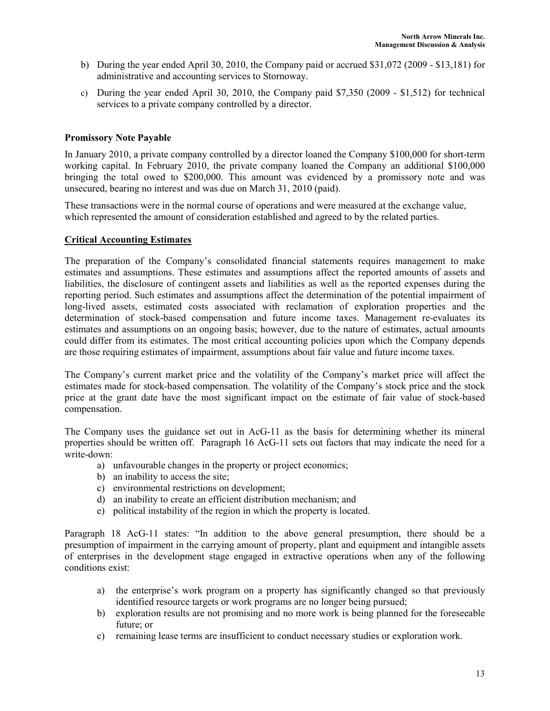- b) During the year ended April 30, 2010, the Company paid or accrued \$31,072 (2009 \$13,181) for administrative and accounting services to Stornoway.
- c) During the year ended April 30, 2010, the Company paid \$7,350 (2009 \$1,512) for technical services to a private company controlled by a director.

### Promissory Note Payable

In January 2010, a private company controlled by a director loaned the Company \$100,000 for short-term working capital. In February 2010, the private company loaned the Company an additional \$100,000 bringing the total owed to \$200,000. This amount was evidenced by a promissory note and was unsecured, bearing no interest and was due on March 31, 2010 (paid).

These transactions were in the normal course of operations and were measured at the exchange value, which represented the amount of consideration established and agreed to by the related parties.

### Critical Accounting Estimates

The preparation of the Company's consolidated financial statements requires management to make estimates and assumptions. These estimates and assumptions affect the reported amounts of assets and liabilities, the disclosure of contingent assets and liabilities as well as the reported expenses during the reporting period. Such estimates and assumptions affect the determination of the potential impairment of long-lived assets, estimated costs associated with reclamation of exploration properties and the determination of stock-based compensation and future income taxes. Management re-evaluates its estimates and assumptions on an ongoing basis; however, due to the nature of estimates, actual amounts could differ from its estimates. The most critical accounting policies upon which the Company depends are those requiring estimates of impairment, assumptions about fair value and future income taxes.

The Company's current market price and the volatility of the Company's market price will affect the estimates made for stock-based compensation. The volatility of the Company's stock price and the stock price at the grant date have the most significant impact on the estimate of fair value of stock-based compensation.

The Company uses the guidance set out in AcG-11 as the basis for determining whether its mineral properties should be written off. Paragraph 16 AcG-11 sets out factors that may indicate the need for a write-down:

- a) unfavourable changes in the property or project economics;
- b) an inability to access the site;
- c) environmental restrictions on development;
- d) an inability to create an efficient distribution mechanism; and
- e) political instability of the region in which the property is located.

Paragraph 18 AcG-11 states: "In addition to the above general presumption, there should be a presumption of impairment in the carrying amount of property, plant and equipment and intangible assets of enterprises in the development stage engaged in extractive operations when any of the following conditions exist:

- a) the enterprise's work program on a property has significantly changed so that previously identified resource targets or work programs are no longer being pursued;
- b) exploration results are not promising and no more work is being planned for the foreseeable future; or
- c) remaining lease terms are insufficient to conduct necessary studies or exploration work.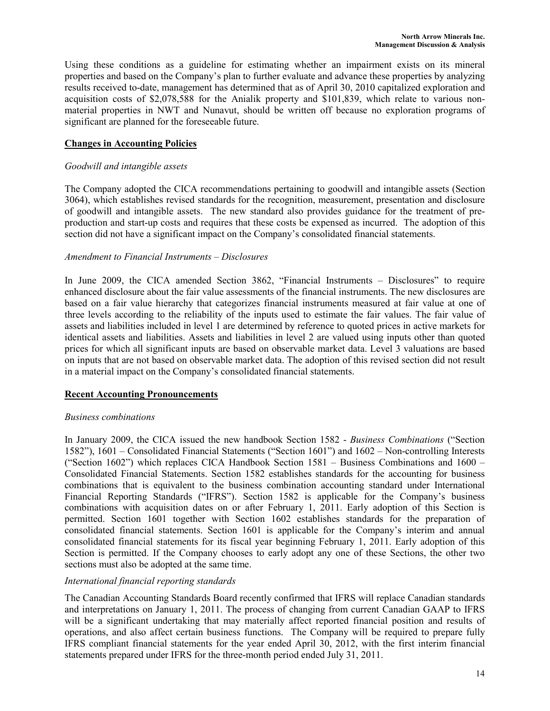Using these conditions as a guideline for estimating whether an impairment exists on its mineral properties and based on the Company's plan to further evaluate and advance these properties by analyzing results received to-date, management has determined that as of April 30, 2010 capitalized exploration and acquisition costs of \$2,078,588 for the Anialik property and \$101,839, which relate to various nonmaterial properties in NWT and Nunavut, should be written off because no exploration programs of significant are planned for the foreseeable future.

# Changes in Accounting Policies

### Goodwill and intangible assets

The Company adopted the CICA recommendations pertaining to goodwill and intangible assets (Section 3064), which establishes revised standards for the recognition, measurement, presentation and disclosure of goodwill and intangible assets. The new standard also provides guidance for the treatment of preproduction and start-up costs and requires that these costs be expensed as incurred. The adoption of this section did not have a significant impact on the Company's consolidated financial statements.

### Amendment to Financial Instruments – Disclosures

In June 2009, the CICA amended Section 3862, "Financial Instruments – Disclosures" to require enhanced disclosure about the fair value assessments of the financial instruments. The new disclosures are based on a fair value hierarchy that categorizes financial instruments measured at fair value at one of three levels according to the reliability of the inputs used to estimate the fair values. The fair value of assets and liabilities included in level 1 are determined by reference to quoted prices in active markets for identical assets and liabilities. Assets and liabilities in level 2 are valued using inputs other than quoted prices for which all significant inputs are based on observable market data. Level 3 valuations are based on inputs that are not based on observable market data. The adoption of this revised section did not result in a material impact on the Company's consolidated financial statements.

# Recent Accounting Pronouncements

# Business combinations

In January 2009, the CICA issued the new handbook Section 1582 - Business Combinations ("Section 1582"), 1601 – Consolidated Financial Statements ("Section 1601") and 1602 – Non-controlling Interests ("Section 1602") which replaces CICA Handbook Section 1581 – Business Combinations and 1600 – Consolidated Financial Statements. Section 1582 establishes standards for the accounting for business combinations that is equivalent to the business combination accounting standard under International Financial Reporting Standards ("IFRS"). Section 1582 is applicable for the Company's business combinations with acquisition dates on or after February 1, 2011. Early adoption of this Section is permitted. Section 1601 together with Section 1602 establishes standards for the preparation of consolidated financial statements. Section 1601 is applicable for the Company's interim and annual consolidated financial statements for its fiscal year beginning February 1, 2011. Early adoption of this Section is permitted. If the Company chooses to early adopt any one of these Sections, the other two sections must also be adopted at the same time.

# International financial reporting standards

The Canadian Accounting Standards Board recently confirmed that IFRS will replace Canadian standards and interpretations on January 1, 2011. The process of changing from current Canadian GAAP to IFRS will be a significant undertaking that may materially affect reported financial position and results of operations, and also affect certain business functions. The Company will be required to prepare fully IFRS compliant financial statements for the year ended April 30, 2012, with the first interim financial statements prepared under IFRS for the three-month period ended July 31, 2011.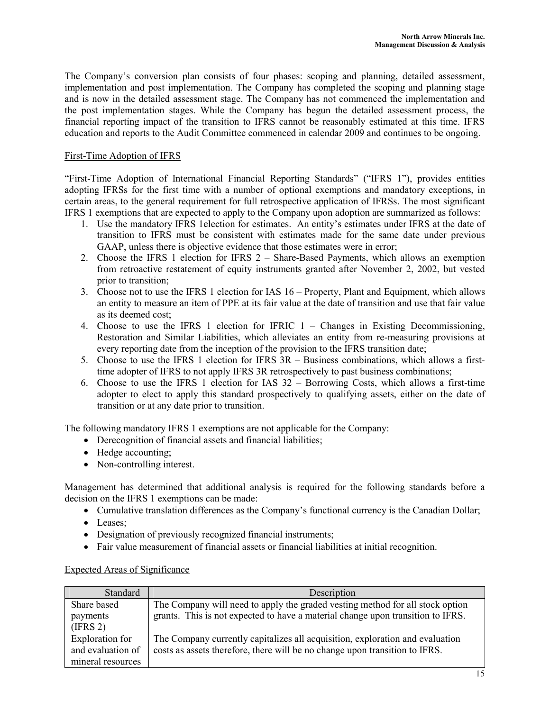The Company's conversion plan consists of four phases: scoping and planning, detailed assessment, implementation and post implementation. The Company has completed the scoping and planning stage and is now in the detailed assessment stage. The Company has not commenced the implementation and the post implementation stages. While the Company has begun the detailed assessment process, the financial reporting impact of the transition to IFRS cannot be reasonably estimated at this time. IFRS education and reports to the Audit Committee commenced in calendar 2009 and continues to be ongoing.

### First-Time Adoption of IFRS

"First-Time Adoption of International Financial Reporting Standards" ("IFRS 1"), provides entities adopting IFRSs for the first time with a number of optional exemptions and mandatory exceptions, in certain areas, to the general requirement for full retrospective application of IFRSs. The most significant IFRS 1 exemptions that are expected to apply to the Company upon adoption are summarized as follows:

- 1. Use the mandatory IFRS 1election for estimates. An entity's estimates under IFRS at the date of transition to IFRS must be consistent with estimates made for the same date under previous GAAP, unless there is objective evidence that those estimates were in error;
- 2. Choose the IFRS 1 election for IFRS 2 Share-Based Payments, which allows an exemption from retroactive restatement of equity instruments granted after November 2, 2002, but vested prior to transition;
- 3. Choose not to use the IFRS 1 election for IAS 16 Property, Plant and Equipment, which allows an entity to measure an item of PPE at its fair value at the date of transition and use that fair value as its deemed cost;
- 4. Choose to use the IFRS 1 election for IFRIC 1 Changes in Existing Decommissioning, Restoration and Similar Liabilities, which alleviates an entity from re-measuring provisions at every reporting date from the inception of the provision to the IFRS transition date;
- 5. Choose to use the IFRS 1 election for IFRS 3R Business combinations, which allows a firsttime adopter of IFRS to not apply IFRS 3R retrospectively to past business combinations;
- 6. Choose to use the IFRS 1 election for IAS 32 Borrowing Costs, which allows a first-time adopter to elect to apply this standard prospectively to qualifying assets, either on the date of transition or at any date prior to transition.

The following mandatory IFRS 1 exemptions are not applicable for the Company:

- Derecognition of financial assets and financial liabilities;
- Hedge accounting;
- Non-controlling interest.

Management has determined that additional analysis is required for the following standards before a decision on the IFRS 1 exemptions can be made:

- Cumulative translation differences as the Company's functional currency is the Canadian Dollar;
- Leases:
- Designation of previously recognized financial instruments;
- Fair value measurement of financial assets or financial liabilities at initial recognition.

### Expected Areas of Significance

| Standard          | Description                                                                     |
|-------------------|---------------------------------------------------------------------------------|
| Share based       | The Company will need to apply the graded vesting method for all stock option   |
| payments          | grants. This is not expected to have a material change upon transition to IFRS. |
| (IFRS 2)          |                                                                                 |
| Exploration for   | The Company currently capitalizes all acquisition, exploration and evaluation   |
| and evaluation of | costs as assets therefore, there will be no change upon transition to IFRS.     |
| mineral resources |                                                                                 |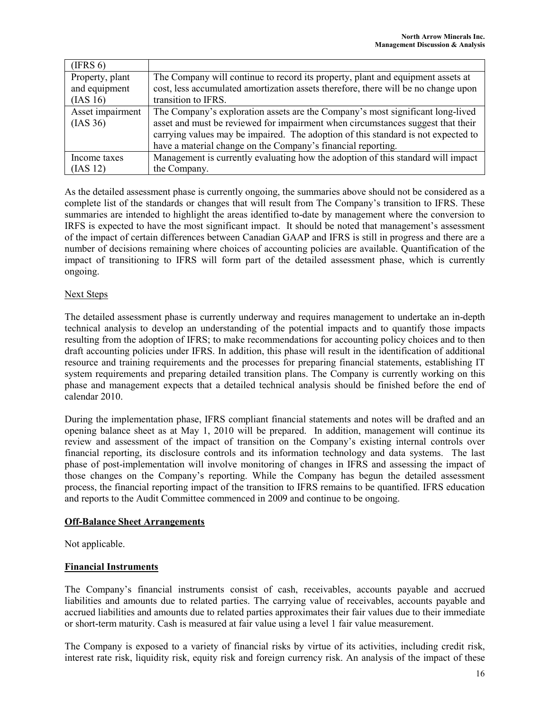| (IFRS 6)         |                                                                                    |
|------------------|------------------------------------------------------------------------------------|
| Property, plant  | The Company will continue to record its property, plant and equipment assets at    |
| and equipment    | cost, less accumulated amortization assets therefore, there will be no change upon |
| (IAS 16)         | transition to IFRS.                                                                |
| Asset impairment | The Company's exploration assets are the Company's most significant long-lived     |
| $(IAS\,36)$      | asset and must be reviewed for impairment when circumstances suggest that their    |
|                  | carrying values may be impaired. The adoption of this standard is not expected to  |
|                  | have a material change on the Company's financial reporting.                       |
| Income taxes     | Management is currently evaluating how the adoption of this standard will impact   |
| (IAS 12)         | the Company.                                                                       |

As the detailed assessment phase is currently ongoing, the summaries above should not be considered as a complete list of the standards or changes that will result from The Company's transition to IFRS. These summaries are intended to highlight the areas identified to-date by management where the conversion to IRFS is expected to have the most significant impact. It should be noted that management's assessment of the impact of certain differences between Canadian GAAP and IFRS is still in progress and there are a number of decisions remaining where choices of accounting policies are available. Quantification of the impact of transitioning to IFRS will form part of the detailed assessment phase, which is currently ongoing.

### Next Steps

The detailed assessment phase is currently underway and requires management to undertake an in-depth technical analysis to develop an understanding of the potential impacts and to quantify those impacts resulting from the adoption of IFRS; to make recommendations for accounting policy choices and to then draft accounting policies under IFRS. In addition, this phase will result in the identification of additional resource and training requirements and the processes for preparing financial statements, establishing IT system requirements and preparing detailed transition plans. The Company is currently working on this phase and management expects that a detailed technical analysis should be finished before the end of calendar 2010.

During the implementation phase, IFRS compliant financial statements and notes will be drafted and an opening balance sheet as at May 1, 2010 will be prepared. In addition, management will continue its review and assessment of the impact of transition on the Company's existing internal controls over financial reporting, its disclosure controls and its information technology and data systems. The last phase of post-implementation will involve monitoring of changes in IFRS and assessing the impact of those changes on the Company's reporting. While the Company has begun the detailed assessment process, the financial reporting impact of the transition to IFRS remains to be quantified. IFRS education and reports to the Audit Committee commenced in 2009 and continue to be ongoing.

### Off-Balance Sheet Arrangements

Not applicable.

# Financial Instruments

The Company's financial instruments consist of cash, receivables, accounts payable and accrued liabilities and amounts due to related parties. The carrying value of receivables, accounts payable and accrued liabilities and amounts due to related parties approximates their fair values due to their immediate or short-term maturity. Cash is measured at fair value using a level 1 fair value measurement.

The Company is exposed to a variety of financial risks by virtue of its activities, including credit risk, interest rate risk, liquidity risk, equity risk and foreign currency risk. An analysis of the impact of these